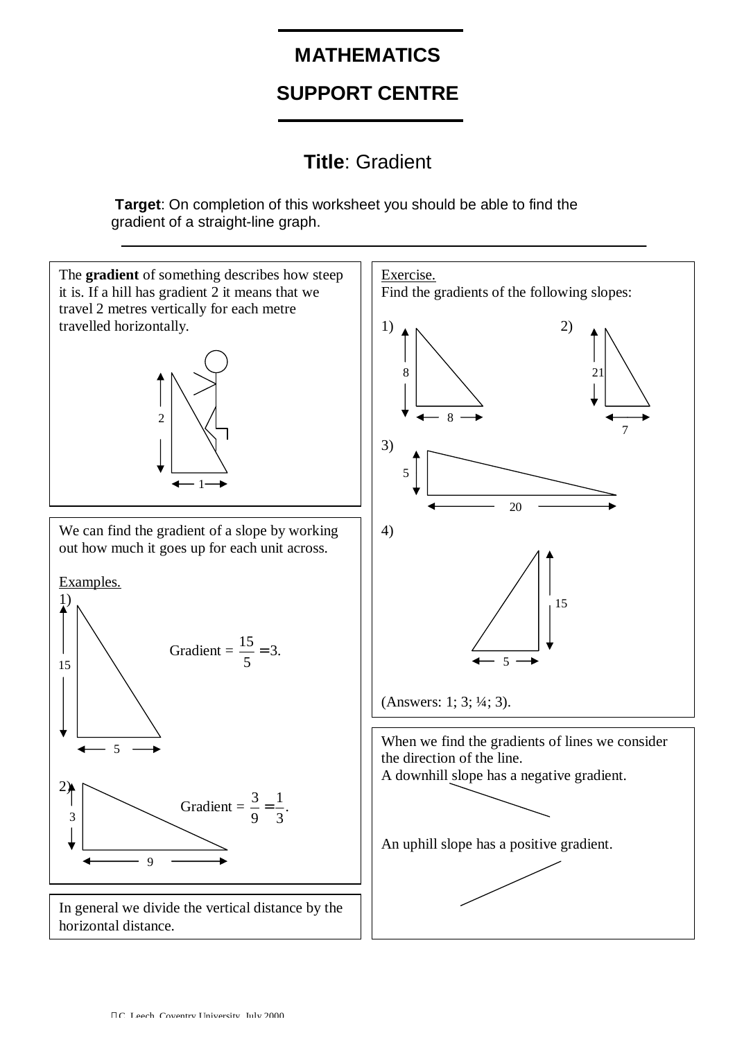## **MATHEMATICS**

# **SUPPORT CENTRE**

## **Title**: Gradient

**Target**: On completion of this worksheet you should be able to find the gradient of a straight-line graph.